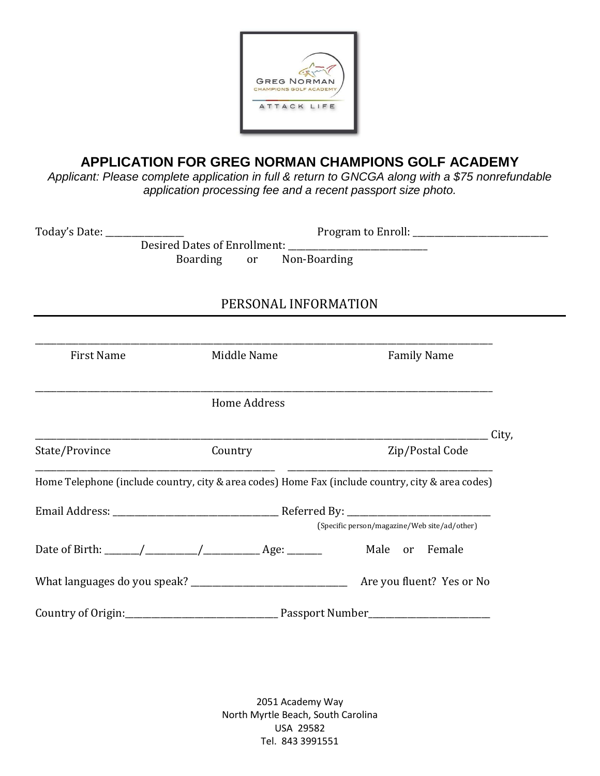

## **APPLICATION FOR GREG NORMAN CHAMPIONS GOLF ACADEMY**

*Applicant: Please complete application in full & return to GNCGA along with a \$75 nonrefundable application processing fee and a recent passport size photo.*

| Today's Date: __________________                                                                  |                             |                                              |       |
|---------------------------------------------------------------------------------------------------|-----------------------------|----------------------------------------------|-------|
|                                                                                                   | Non-Boarding<br>Boarding or |                                              |       |
|                                                                                                   | PERSONAL INFORMATION        |                                              |       |
| <b>First Name</b>                                                                                 | Middle Name                 | <b>Family Name</b>                           |       |
|                                                                                                   | <b>Home Address</b>         |                                              |       |
| State/Province                                                                                    | Country                     | Zip/Postal Code                              | City, |
| Home Telephone (include country, city & area codes) Home Fax (include country, city & area codes) |                             |                                              |       |
|                                                                                                   |                             | (Specific person/magazine/Web site/ad/other) |       |
|                                                                                                   |                             |                                              |       |
|                                                                                                   |                             |                                              |       |
|                                                                                                   |                             |                                              |       |

2051 Academy Way North Myrtle Beach, South Carolina USA 29582 Tel. 843 3991551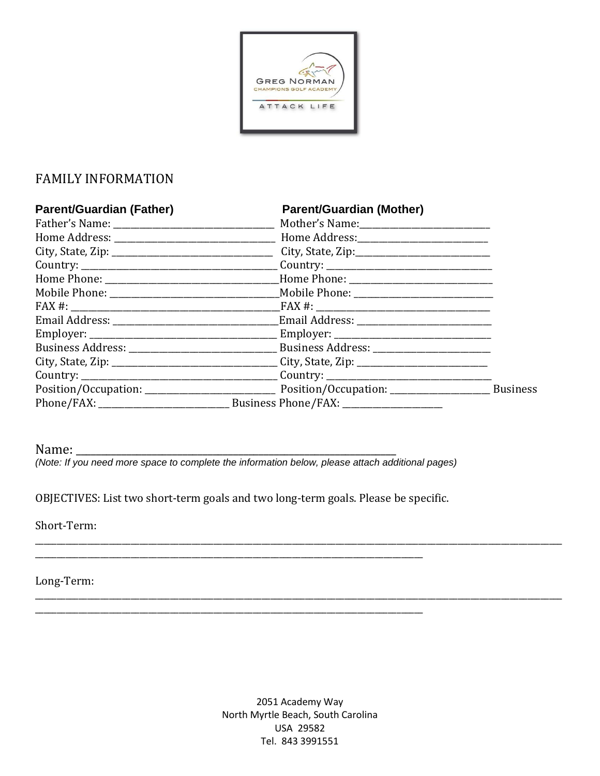

## **FAMILY INFORMATION**

| <b>Parent/Guardian (Father)</b> | <b>Parent/Guardian (Mother)</b> |                                                                                                     |  |
|---------------------------------|---------------------------------|-----------------------------------------------------------------------------------------------------|--|
|                                 |                                 |                                                                                                     |  |
|                                 |                                 |                                                                                                     |  |
|                                 |                                 |                                                                                                     |  |
|                                 |                                 |                                                                                                     |  |
|                                 |                                 |                                                                                                     |  |
|                                 |                                 |                                                                                                     |  |
|                                 |                                 |                                                                                                     |  |
|                                 |                                 |                                                                                                     |  |
|                                 |                                 |                                                                                                     |  |
|                                 |                                 |                                                                                                     |  |
|                                 |                                 | City, State, Zip: ___________________________________City, State, Zip: ____________________________ |  |
|                                 |                                 |                                                                                                     |  |
|                                 |                                 | <b>Business</b>                                                                                     |  |
|                                 |                                 |                                                                                                     |  |

Name: \_

(Note: If you need more space to complete the information below, please attach additional pages)

OBJECTIVES: List two short-term goals and two long-term goals. Please be specific.

Short-Term:

Long-Term:

2051 Academy Way North Myrtle Beach, South Carolina USA 29582 Tel. 843 3991551